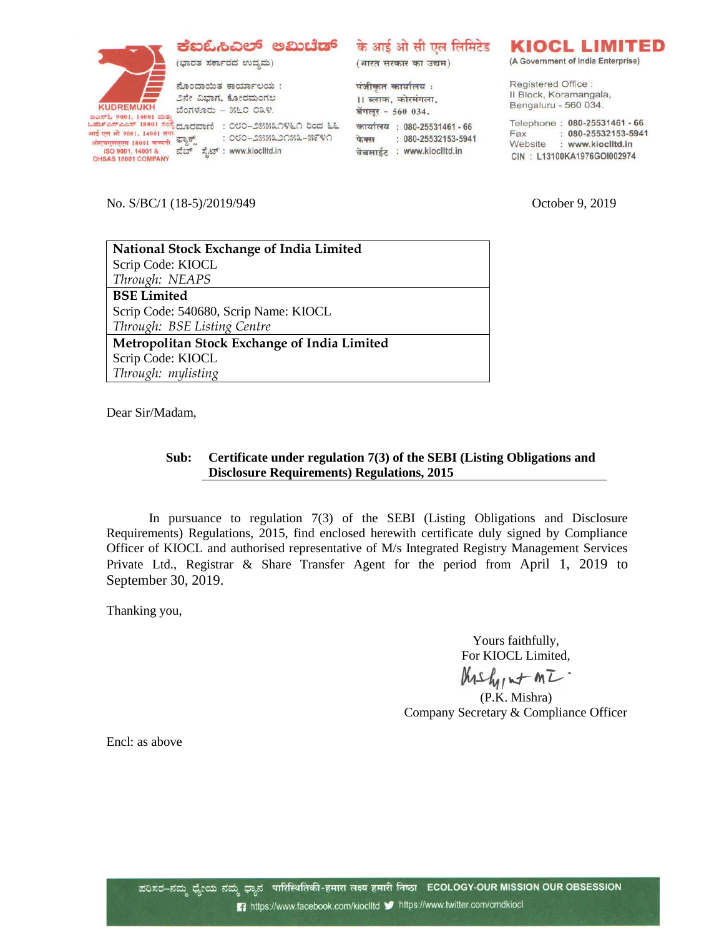## ಕ್ಷಐಓಸಿವಿಲ್ ಅಮಿಟೆಡ್



ಭಾರತ ಸರ್ಕಾರದ ಉದ್ಯಮ)

ನೊಂದಾಯಿತ ಕಾರ್ಯಾಲಯ: ೨ನೇ ವಿಭಾಗ, ಕೋರಮಂಗಲ ಬೆಂಗಳೂರು - ೫೬೦ ೦೩೪. <u>ಒಕೆಚ್ಎಸ್ಎಎಸ್ 18001 ಸಂಸ್ಥೆ ದೂರವಾಣಿ: ೦೮೦–೨೫೫೩೧೪೬೧ ರಿಂದ ೬೬</u>

: ೦೮೦–೨೫೫೩೨೧೫೩–೫೯೪೧ <del>ओएबएसएएस 18001 कम्पनी स्फुल्</del>ल : <del>000–288829(</del><br>180 9001, 14001 & ವೆಬ್ ಸೈಟ್ : www.kioclitd.in<br>OHSAS 18001 COMPANY

के आई ओ सी एल लिमिटेड

(भारत सरकार का उद्यम)

पंजीकृत कार्यालय : ।। ब्लाक, कोरमंगला, बेंगलूर - 560 034. कार्यालय : 080-25531461 - 66 फेक्स: 080-25532153-5941 वेबसाईट : www.kioclitd.in

## **KIOCL LIMITED**

(A Government of India Enterprise)

Registered Office: Il Block, Koramangala, Bengaluru - 560 034.

Telephone: 080-25531461 - 66 Fax: : 080-25532153-5941<br>Website: www.kioclitd.in CIN: L13100KA1976GOI002974

No. S/BC/1 (18-5)/2019/949 October 9, 2019

| National Stock Exchange of India Limited     |
|----------------------------------------------|
| Scrip Code: KIOCL                            |
| Through: NEAPS                               |
| <b>BSE Limited</b>                           |
| Scrip Code: 540680, Scrip Name: KIOCL        |
| Through: BSE Listing Centre                  |
| Metropolitan Stock Exchange of India Limited |
| Scrip Code: KIOCL                            |
| Through: mylisting                           |

Dear Sir/Madam,

## **Sub: Certificate under regulation 7(3) of the SEBI (Listing Obligations and Disclosure Requirements) Regulations, 2015**

In pursuance to regulation 7(3) of the SEBI (Listing Obligations and Disclosure Requirements) Regulations, 2015, find enclosed herewith certificate duly signed by Compliance Officer of KIOCL and authorised representative of M/s Integrated Registry Management Services Private Ltd., Registrar & Share Transfer Agent for the period from April 1, 2019 to September 30, 2019.

Thanking you,

Yours faithfully, For KIOCL Limited,

 $Mshy_{M}$ + $mZ$ 

(P.K. Mishra) Company Secretary & Compliance Officer

Encl: as above